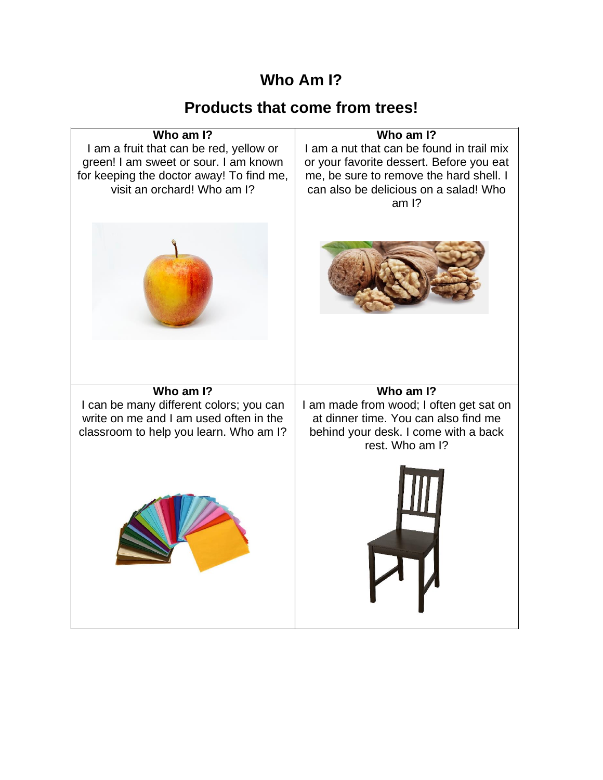## **Who Am I?**

## **Products that come from trees!**